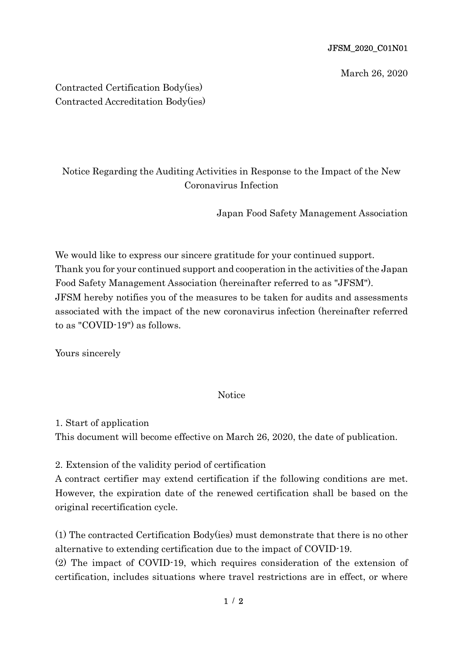## JFSM\_2020\_C01N01

March 26, 2020

Contracted Certification Body(ies) Contracted Accreditation Body(ies)

## Notice Regarding the Auditing Activities in Response to the Impact of the New Coronavirus Infection

Japan Food Safety Management Association

We would like to express our sincere gratitude for your continued support. Thank you for your continued support and cooperation in the activities of the Japan Food Safety Management Association (hereinafter referred to as "JFSM"). JFSM hereby notifies you of the measures to be taken for audits and assessments associated with the impact of the new coronavirus infection (hereinafter referred to as "COVID-19") as follows.

Yours sincerely

**Notice** 

1. Start of application

This document will become effective on March 26, 2020, the date of publication.

2. Extension of the validity period of certification

A contract certifier may extend certification if the following conditions are met. However, the expiration date of the renewed certification shall be based on the original recertification cycle.

(1) The contracted Certification Body(ies) must demonstrate that there is no other alternative to extending certification due to the impact of COVID-19.

(2) The impact of COVID-19, which requires consideration of the extension of certification, includes situations where travel restrictions are in effect, or where